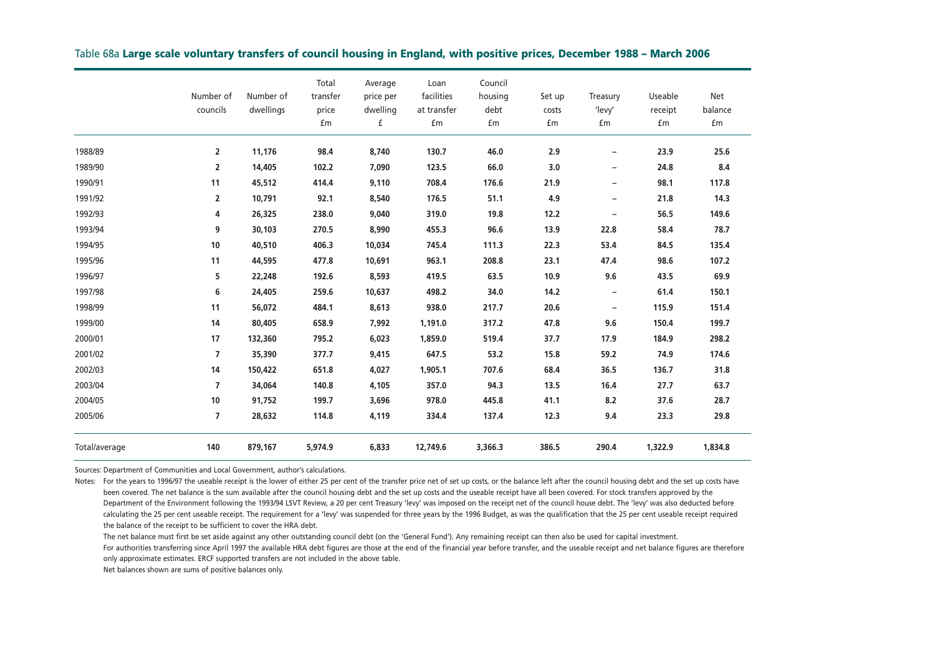|               | Number of<br>councils | Number of<br>dwellings | Total<br>transfer<br>price<br>£m | Average<br>price per<br>dwelling<br>£ | Loan<br>facilities<br>at transfer<br>£m | Council<br>housing<br>debt<br>£m | Set up<br>costs<br>£m | Treasury<br>'levy'<br>£m | Useable<br>receipt<br>£m | Net<br>balance<br>£m |
|---------------|-----------------------|------------------------|----------------------------------|---------------------------------------|-----------------------------------------|----------------------------------|-----------------------|--------------------------|--------------------------|----------------------|
| 1988/89       | $\overline{2}$        | 11,176                 | 98.4                             | 8,740                                 | 130.7                                   | 46.0                             | 2.9                   | $\overline{\phantom{a}}$ | 23.9                     | 25.6                 |
| 1989/90       | $\overline{2}$        | 14,405                 | 102.2                            | 7.090                                 | 123.5                                   | 66.0                             | 3.0                   | $\overline{\phantom{m}}$ | 24.8                     | 8.4                  |
| 1990/91       | 11                    | 45,512                 | 414.4                            | 9,110                                 | 708.4                                   | 176.6                            | 21.9                  | $\overline{\phantom{a}}$ | 98.1                     | 117.8                |
| 1991/92       | $\overline{2}$        | 10,791                 | 92.1                             | 8,540                                 | 176.5                                   | 51.1                             | 4.9                   | $\overline{\phantom{m}}$ | 21.8                     | 14.3                 |
| 1992/93       | 4                     | 26,325                 | 238.0                            | 9,040                                 | 319.0                                   | 19.8                             | 12.2                  | $\overline{\phantom{m}}$ | 56.5                     | 149.6                |
| 1993/94       | 9                     | 30,103                 | 270.5                            | 8,990                                 | 455.3                                   | 96.6                             | 13.9                  | 22.8                     | 58.4                     | 78.7                 |
| 1994/95       | 10                    | 40,510                 | 406.3                            | 10,034                                | 745.4                                   | 111.3                            | 22.3                  | 53.4                     | 84.5                     | 135.4                |
| 1995/96       | 11                    | 44,595                 | 477.8                            | 10,691                                | 963.1                                   | 208.8                            | 23.1                  | 47.4                     | 98.6                     | 107.2                |
| 1996/97       | 5                     | 22,248                 | 192.6                            | 8,593                                 | 419.5                                   | 63.5                             | 10.9                  | 9.6                      | 43.5                     | 69.9                 |
| 1997/98       | 6                     | 24,405                 | 259.6                            | 10,637                                | 498.2                                   | 34.0                             | 14.2                  | $\overline{\phantom{a}}$ | 61.4                     | 150.1                |
| 1998/99       | 11                    | 56,072                 | 484.1                            | 8,613                                 | 938.0                                   | 217.7                            | 20.6                  | $\overline{\phantom{m}}$ | 115.9                    | 151.4                |
| 1999/00       | 14                    | 80,405                 | 658.9                            | 7,992                                 | 1,191.0                                 | 317.2                            | 47.8                  | 9.6                      | 150.4                    | 199.7                |
| 2000/01       | 17                    | 132,360                | 795.2                            | 6,023                                 | 1,859.0                                 | 519.4                            | 37.7                  | 17.9                     | 184.9                    | 298.2                |
| 2001/02       | $\overline{7}$        | 35,390                 | 377.7                            | 9,415                                 | 647.5                                   | 53.2                             | 15.8                  | 59.2                     | 74.9                     | 174.6                |
| 2002/03       | 14                    | 150,422                | 651.8                            | 4,027                                 | 1,905.1                                 | 707.6                            | 68.4                  | 36.5                     | 136.7                    | 31.8                 |
| 2003/04       | $\overline{7}$        | 34,064                 | 140.8                            | 4,105                                 | 357.0                                   | 94.3                             | 13.5                  | 16.4                     | 27.7                     | 63.7                 |
| 2004/05       | 10                    | 91,752                 | 199.7                            | 3,696                                 | 978.0                                   | 445.8                            | 41.1                  | 8.2                      | 37.6                     | 28.7                 |
| 2005/06       | $\overline{7}$        | 28,632                 | 114.8                            | 4,119                                 | 334.4                                   | 137.4                            | 12.3                  | 9.4                      | 23.3                     | 29.8                 |
| Total/average | 140                   | 879,167                | 5,974.9                          | 6,833                                 | 12,749.6                                | 3,366.3                          | 386.5                 | 290.4                    | 1,322.9                  | 1,834.8              |

#### Table 68a **Large scale voluntary transfers of council housing in England, with positive prices, December 1988 – March 2006**

Sources: Department of Communities and Local Government, author's calculations.

Notes: For the years to 1996/97 the useable receipt is the lower of either 25 per cent of the transfer price net of set up costs, or the balance left after the council housing debt and the set up costs have been covered. The net balance is the sum available after the council housing debt and the set up costs and the useable receipt have all been covered. For stock transfers approved by the Department of the Environment following the 1993/94 LSVT Review, a 20 per cent Treasury 'levy' was imposed on the receipt net of the council house debt. The 'levy' was also deducted before calculating the 25 per cent useable receipt. The requirement for a 'levy' was suspended for three years by the 1996 Budget, as was the qualification that the 25 per cent useable receipt required the balance of the receipt to be sufficient to cover the HRA debt.

The net balance must first be set aside against any other outstanding council debt (on the 'General Fund'). Any remaining receipt can then also be used for capital investment.

For authorities transferring since April 1997 the available HRA debt figures are those at the end of the financial year before transfer, and the useable receipt and net balance figures are therefore only approximate estimates. ERCF supported transfers are not included in the above table.

Net balances shown are sums of positive balances only.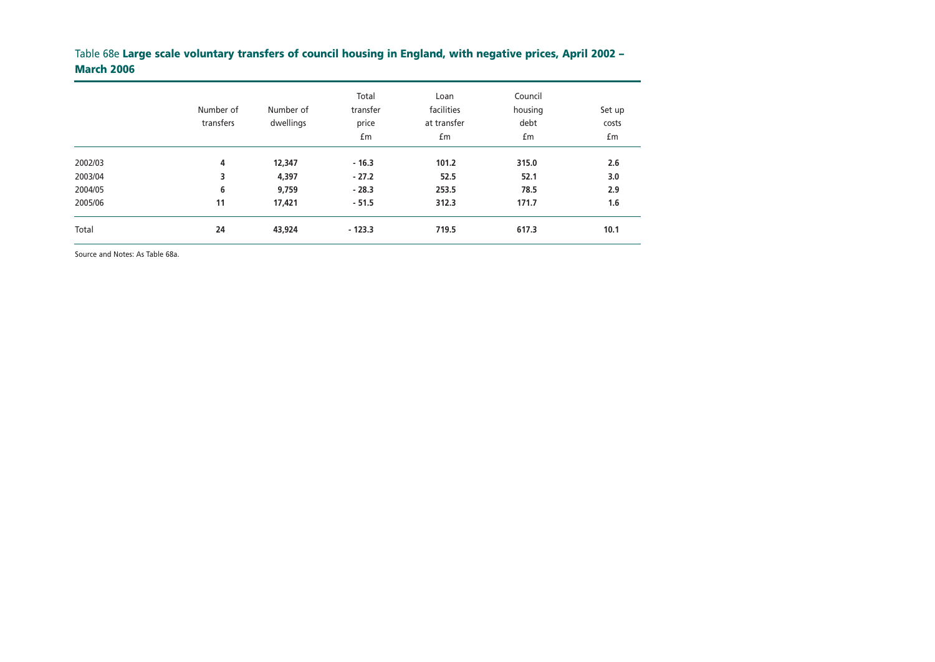# Table 68e **Large scale voluntary transfers of council housing in England, with negative prices, April 2002 – March 2006**

|         | Number of<br>transfers | Number of<br>dwellings | Total<br>transfer<br>price<br>£m | Loan<br>facilities<br>at transfer<br>£m | Council<br>housing<br>debt<br>£m | Set up<br>costs<br>£m |
|---------|------------------------|------------------------|----------------------------------|-----------------------------------------|----------------------------------|-----------------------|
| 2002/03 | 4                      | 12,347                 | $-16.3$                          | 101.2                                   | 315.0                            | 2.6                   |
| 2003/04 | 3                      | 4,397                  | $-27.2$                          | 52.5                                    | 52.1                             | 3.0                   |
| 2004/05 | 6                      | 9,759                  | $-28.3$                          | 253.5                                   | 78.5                             | 2.9                   |
| 2005/06 | 11                     | 17,421                 | $-51.5$                          | 312.3                                   | 171.7                            | 1.6                   |
| Total   | 24                     | 43,924                 | $-123.3$                         | 719.5                                   | 617.3                            | 10.1                  |

Source and Notes: As Table 68a.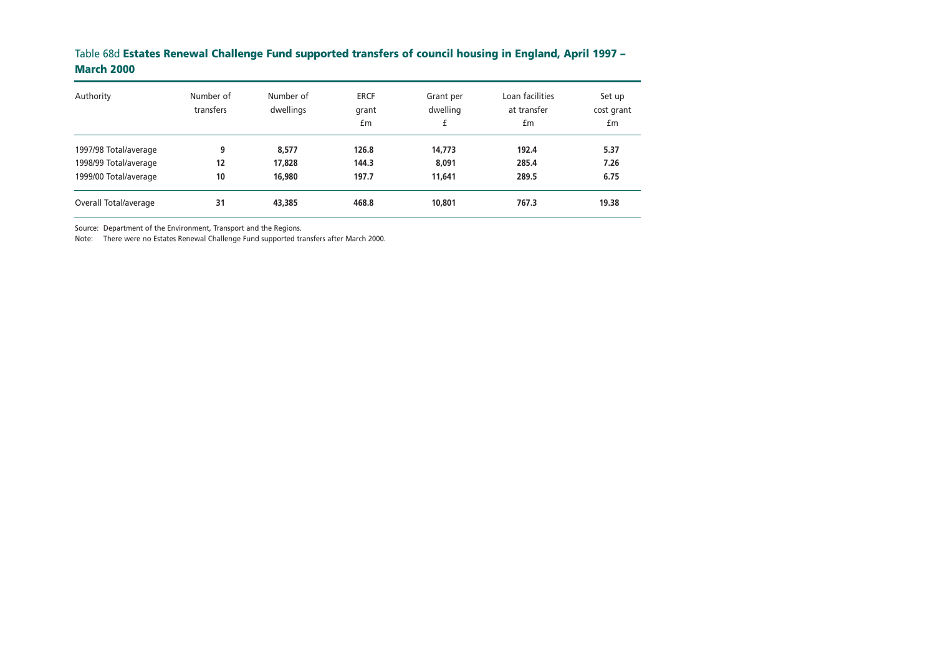## Table 68d **Estates Renewal Challenge Fund supported transfers of council housing in England, April 1997 – March 2000**

| Authority             | Number of<br>transfers | Number of<br>dwellings | <b>ERCF</b><br>grant<br>£m | Grant per<br>dwelling<br>£ | Loan facilities<br>at transfer<br>£m | Set up<br>cost grant<br>£m |
|-----------------------|------------------------|------------------------|----------------------------|----------------------------|--------------------------------------|----------------------------|
| 1997/98 Total/average | 9                      | 8.577                  | 126.8                      | 14,773                     | 192.4                                | 5.37                       |
| 1998/99 Total/average | 12                     | 17,828                 | 144.3                      | 8.091                      | 285.4                                | 7.26                       |
| 1999/00 Total/average | 10                     | 16,980                 | 197.7                      | 11,641                     | 289.5                                | 6.75                       |
| Overall Total/average | 31                     | 43,385                 | 468.8                      | 10,801                     | 767.3                                | 19.38                      |

Source: Department of the Environment, Transport and the Regions.

Note: There were no Estates Renewal Challenge Fund supported transfers after March 2000.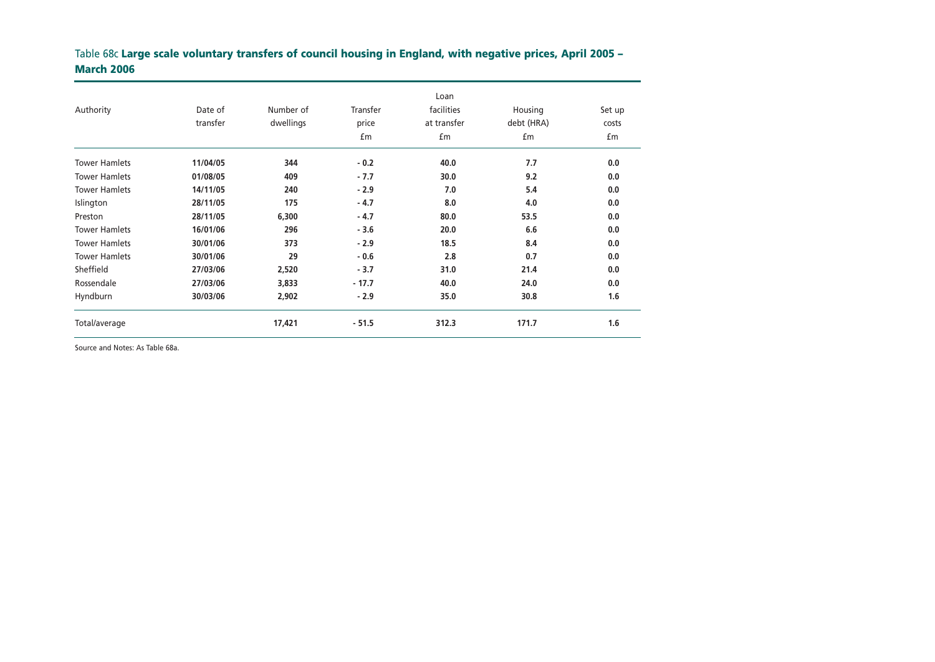# Table 68c **Large scale voluntary transfers of council housing in England, with negative prices, April 2005 – March 2006**

|                      |          |           |          | Loan        |            |        |  |
|----------------------|----------|-----------|----------|-------------|------------|--------|--|
| Authority            | Date of  | Number of | Transfer | facilities  | Housing    | Set up |  |
|                      | transfer | dwellings | price    | at transfer | debt (HRA) | costs  |  |
|                      |          |           | £m       | £m          | £m         | £m     |  |
| <b>Tower Hamlets</b> | 11/04/05 | 344       | $-0.2$   | 40.0        | 7.7        | 0.0    |  |
| <b>Tower Hamlets</b> | 01/08/05 | 409       | $-7.7$   | 30.0        | 9.2        | 0.0    |  |
| <b>Tower Hamlets</b> | 14/11/05 | 240       | $-2.9$   | 7.0         | 5.4        | 0.0    |  |
| Islington            | 28/11/05 | 175       | $-4.7$   | 8.0         | 4.0        | 0.0    |  |
| Preston              | 28/11/05 | 6,300     | $-4.7$   | 80.0        | 53.5       | 0.0    |  |
| <b>Tower Hamlets</b> | 16/01/06 | 296       | $-3.6$   | 20.0        | 6.6        | 0.0    |  |
| <b>Tower Hamlets</b> | 30/01/06 | 373       | $-2.9$   | 18.5        | 8.4        | 0.0    |  |
| <b>Tower Hamlets</b> | 30/01/06 | 29        | $-0.6$   | 2.8         | 0.7        | 0.0    |  |
| Sheffield            | 27/03/06 | 2,520     | $-3.7$   | 31.0        | 21.4       | 0.0    |  |
| Rossendale           | 27/03/06 | 3,833     | $-17.7$  | 40.0        | 24.0       | 0.0    |  |
| Hyndburn             | 30/03/06 | 2,902     | $-2.9$   | 35.0        | 30.8       | 1.6    |  |
| Total/average        |          | 17,421    | $-51.5$  | 312.3       | 171.7      | 1.6    |  |

Source and Notes: As Table 68a.